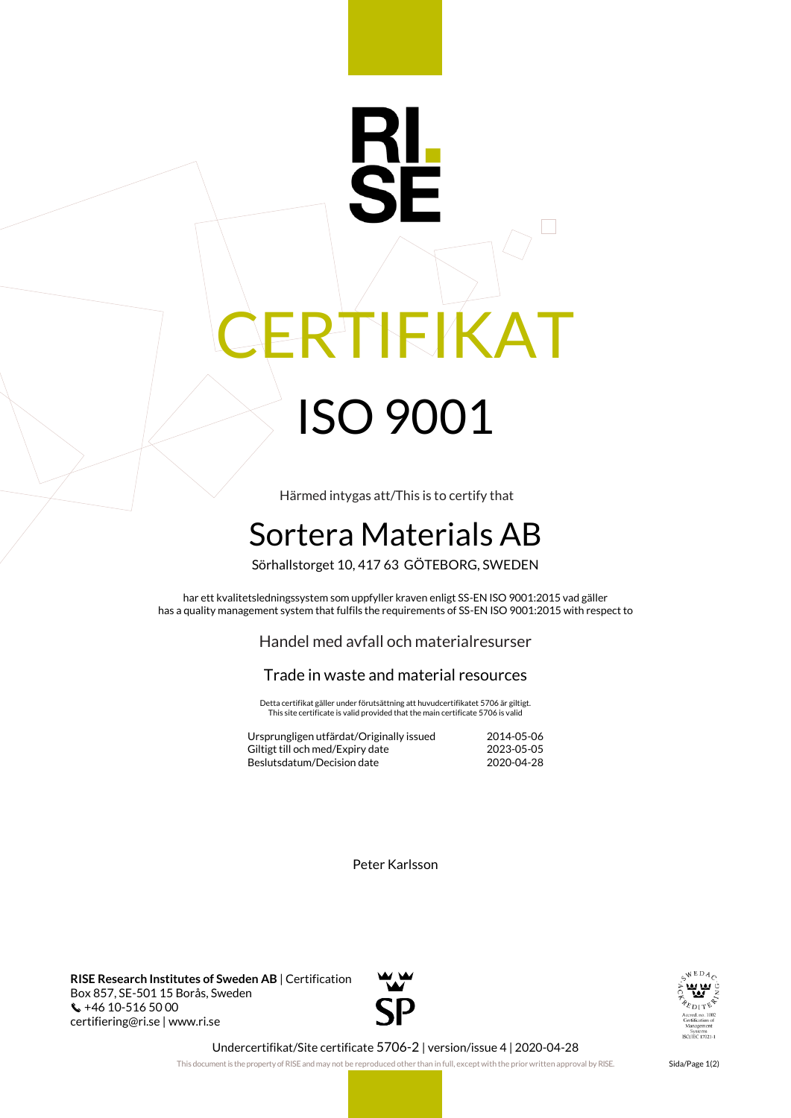## RI CERTIFIKAT ISO 9001

Härmed intygas att/This is to certify that

## Sortera Materials AB

Sörhallstorget 10, 417 63 GÖTEBORG, SWEDEN

har ett kvalitetsledningssystem som uppfyller kraven enligt SS-EN ISO 9001:2015 vad gäller has a quality management system that fulfils the requirements of SS-EN ISO 9001:2015 with respect to

Handel med avfall och materialresurser

## Trade in waste and material resources

Detta certifikat gäller under förutsättning att huvudcertifikatet 5706 är giltigt. This site certificate is valid provided that the main certificate 5706 is valid

| Ursprungligen utfärdat/Originally issued | 2014-05-06 |
|------------------------------------------|------------|
| Giltigt till och med/Expiry date         | 2023-05-05 |
| Beslutsdatum/Decision date               | 2020-04-28 |

Peter Karlsson

**RISE Research Institutes of Sweden AB** | Certification Box 857, SE-501 15 Borås, Sweden  $\binom{4}{10}$  +46 10-516 50 00 certifiering@ri.se | www.ri.se





Undercertifikat/Site certificate 5706-2 | version/issue 4 | 2020-04-28

This document is the property of RISE and may not be reproduced other than in full, except with the prior written approval by RISE. Sida/Page 1(2)